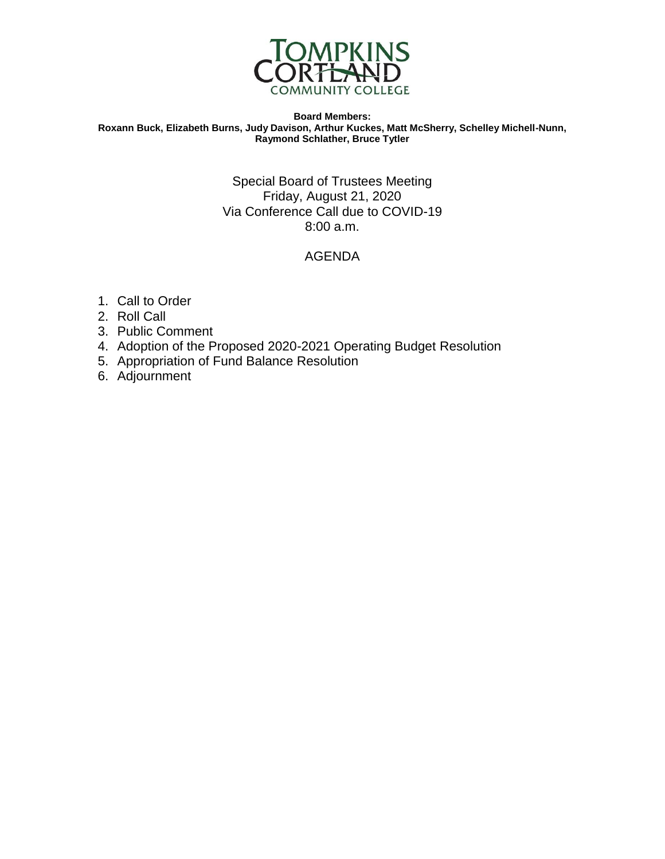

#### **Board Members: Roxann Buck, Elizabeth Burns, Judy Davison, Arthur Kuckes, Matt McSherry, Schelley Michell-Nunn, Raymond Schlather, Bruce Tytler**

### Special Board of Trustees Meeting Friday, August 21, 2020 Via Conference Call due to COVID-19 8:00 a.m.

### AGENDA

- 1. Call to Order
- 2. Roll Call
- 3. Public Comment
- 4. Adoption of the Proposed 2020-2021 Operating Budget Resolution
- 5. Appropriation of Fund Balance Resolution
- 6. Adjournment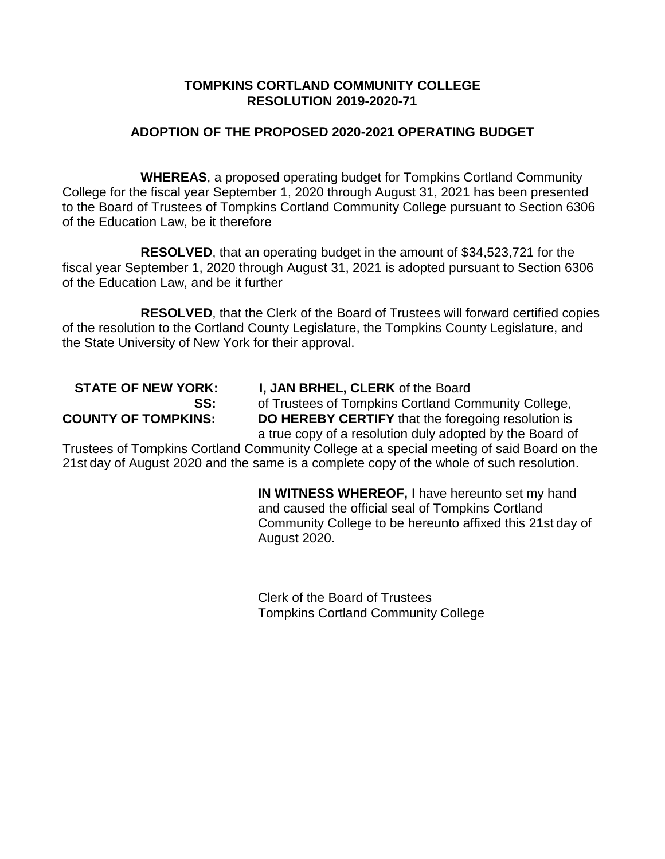### **TOMPKINS CORTLAND COMMUNITY COLLEGE RESOLUTION 2019-2020-71**

### **ADOPTION OF THE PROPOSED 2020-2021 OPERATING BUDGET**

**WHEREAS**, a proposed operating budget for Tompkins Cortland Community College for the fiscal year September 1, 2020 through August 31, 2021 has been presented to the Board of Trustees of Tompkins Cortland Community College pursuant to Section 6306 of the Education Law, be it therefore

**RESOLVED**, that an operating budget in the amount of \$34,523,721 for the fiscal year September 1, 2020 through August 31, 2021 is adopted pursuant to Section 6306 of the Education Law, and be it further

**RESOLVED**, that the Clerk of the Board of Trustees will forward certified copies of the resolution to the Cortland County Legislature, the Tompkins County Legislature, and the State University of New York for their approval.

# **STATE OF NEW YORK: I, JAN BRHEL, CLERK** of the Board

**SS:** of Trustees of Tompkins Cortland Community College, **COUNTY OF TOMPKINS: DO HEREBY CERTIFY** that the foregoing resolution is

a true copy of a resolution duly adopted by the Board of Trustees of Tompkins Cortland Community College at a special meeting of said Board on the 21st day of August 2020 and the same is a complete copy of the whole of such resolution.

> **IN WITNESS WHEREOF,** I have hereunto set my hand and caused the official seal of Tompkins Cortland Community College to be hereunto affixed this 21st day of August 2020.

Clerk of the Board of Trustees Tompkins Cortland Community College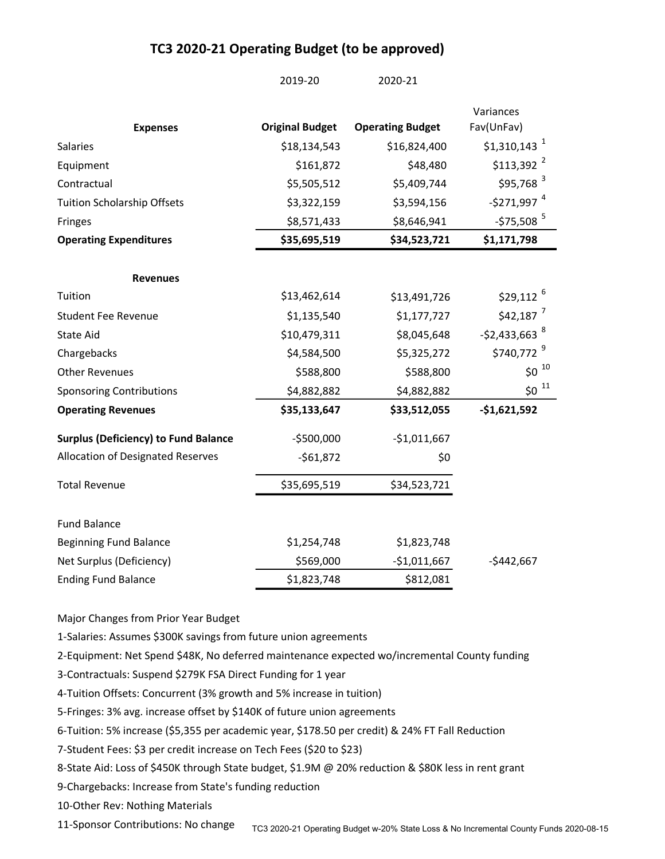### TC3 2020-21 Operating Budget (to be approved)

|                                             | 2019-20                | 2020-21                 |                           |
|---------------------------------------------|------------------------|-------------------------|---------------------------|
|                                             |                        |                         | Variances                 |
| <b>Expenses</b>                             | <b>Original Budget</b> | <b>Operating Budget</b> | Fav(UnFav)                |
| Salaries                                    | \$18,134,543           | \$16,824,400            | $$1,310,143$ <sup>1</sup> |
| Equipment                                   | \$161,872              | \$48,480                | $$113,392$ <sup>2</sup>   |
| Contractual                                 | \$5,505,512            | \$5,409,744             | $$95,768$ <sup>3</sup>    |
| <b>Tuition Scholarship Offsets</b>          | \$3,322,159            | \$3,594,156             | $-$ \$271,997 $^{4}$      |
| Fringes                                     | \$8,571,433            | \$8,646,941             | $-$ \$75,508 $^5$         |
| <b>Operating Expenditures</b>               | \$35,695,519           | \$34,523,721            | \$1,171,798               |
| <b>Revenues</b>                             |                        |                         |                           |
| Tuition                                     | \$13,462,614           | \$13,491,726            | $$29,112$ <sup>6</sup>    |
| <b>Student Fee Revenue</b>                  | \$1,135,540            | \$1,177,727             | $$42,187$ <sup>7</sup>    |
| State Aid                                   | \$10,479,311           | \$8,045,648             | -\$2,433,663 <sup>8</sup> |
| Chargebacks                                 | \$4,584,500            | \$5,325,272             | \$740,772 <sup>9</sup>    |
| <b>Other Revenues</b>                       | \$588,800              | \$588,800               | $$0^{-10}$                |
| <b>Sponsoring Contributions</b>             | \$4,882,882            | \$4,882,882             | $$0^{-11}$                |
| <b>Operating Revenues</b>                   | \$35,133,647           | \$33,512,055            | $-$1,621,592$             |
| <b>Surplus (Deficiency) to Fund Balance</b> | $-$500,000$            | $-$1,011,667$           |                           |
| Allocation of Designated Reserves           | $-561,872$             | \$0                     |                           |
| <b>Total Revenue</b>                        | \$35,695,519           | \$34,523,721            |                           |
| <b>Fund Balance</b>                         |                        |                         |                           |
| <b>Beginning Fund Balance</b>               | \$1,254,748            | \$1,823,748             |                           |
| Net Surplus (Deficiency)                    | \$569,000              | -\$1,011,667            | $-$442,667$               |
| <b>Ending Fund Balance</b>                  | \$1,823,748            | \$812,081               |                           |

Major Changes from Prior Year Budget

1-Salaries: Assumes \$300K savings from future union agreements

2-Equipment: Net Spend \$48K, No deferred maintenance expected wo/incremental County funding

3-Contractuals: Suspend \$279K FSA Direct Funding for 1 year

4-Tuition Offsets: Concurrent (3% growth and 5% increase in tuition)

5-Fringes: 3% avg. increase offset by \$140K of future union agreements

6-Tuition: 5% increase (\$5,355 per academic year, \$178.50 per credit) & 24% FT Fall Reduction

7-Student Fees: \$3 per credit increase on Tech Fees (\$20 to \$23)

8-State Aid: Loss of \$450K through State budget, \$1.9M @ 20% reduction & \$80K less in rent grant

9-Chargebacks: Increase from State's funding reduction

10-Other Rev: Nothing Materials

11-Sponsor Contributions: No change TC3 2020-21 Operating Budget w-20% State Loss & No Incremental County Funds 2020-08-15